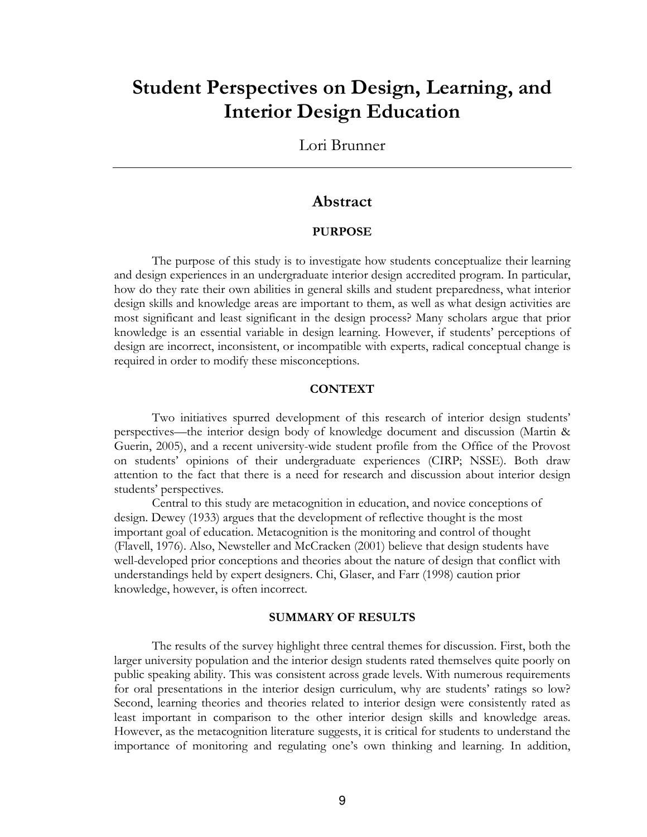## **Student Perspectives on Design, Learning, and Interior Design Education**

Lori Brunner

## **Abstract**

## **PURPOSE**

The purpose of this study is to investigate how students conceptualize their learning and design experiences in an undergraduate interior design accredited program. In particular, how do they rate their own abilities in general skills and student preparedness, what interior design skills and knowledge areas are important to them, as well as what design activities are most significant and least significant in the design process? Many scholars argue that prior knowledge is an essential variable in design learning. However, if students' perceptions of design are incorrect, inconsistent, or incompatible with experts, radical conceptual change is required in order to modify these misconceptions.

## **CONTEXT**

Two initiatives spurred development of this research of interior design students' perspectives—the interior design body of knowledge document and discussion (Martin & Guerin, 2005), and a recent university-wide student profile from the Office of the Provost on students' opinions of their undergraduate experiences (CIRP; NSSE). Both draw attention to the fact that there is a need for research and discussion about interior design students' perspectives.

Central to this study are metacognition in education, and novice conceptions of design. Dewey (1933) argues that the development of reflective thought is the most important goal of education. Metacognition is the monitoring and control of thought (Flavell, 1976). Also, Newsteller and McCracken (2001) believe that design students have well-developed prior conceptions and theories about the nature of design that conflict with understandings held by expert designers. Chi, Glaser, and Farr (1998) caution prior knowledge, however, is often incorrect.

## **SUMMARY OF RESULTS**

The results of the survey highlight three central themes for discussion. First, both the larger university population and the interior design students rated themselves quite poorly on public speaking ability. This was consistent across grade levels. With numerous requirements for oral presentations in the interior design curriculum, why are students' ratings so low? Second, learning theories and theories related to interior design were consistently rated as least important in comparison to the other interior design skills and knowledge areas. However, as the metacognition literature suggests, it is critical for students to understand the importance of monitoring and regulating one's own thinking and learning. In addition,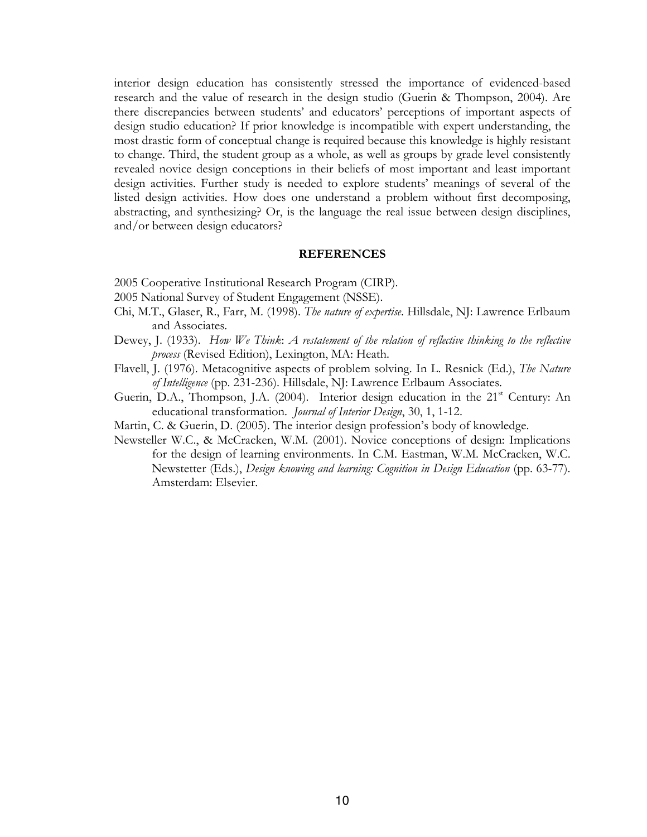interior design education has consistently stressed the importance of evidenced-based research and the value of research in the design studio (Guerin & Thompson, 2004). Are there discrepancies between students' and educators' perceptions of important aspects of design studio education? If prior knowledge is incompatible with expert understanding, the most drastic form of conceptual change is required because this knowledge is highly resistant to change. Third, the student group as a whole, as well as groups by grade level consistently revealed novice design conceptions in their beliefs of most important and least important design activities. Further study is needed to explore students' meanings of several of the listed design activities. How does one understand a problem without first decomposing, abstracting, and synthesizing? Or, is the language the real issue between design disciplines, and/or between design educators?

#### **REFERENCES**

- 2005 Cooperative Institutional Research Program (CIRP).
- 2005 National Survey of Student Engagement (NSSE).
- Chi, M.T., Glaser, R., Farr, M. (1998). The nature of expertise. Hillsdale, NJ: Lawrence Erlbaum and Associates.
- Dewey, J. (1933). How We Think: A restatement of the relation of reflective thinking to the reflective process (Revised Edition), Lexington, MA: Heath.
- Flavell, J. (1976). Metacognitive aspects of problem solving. In L. Resnick (Ed.), The Nature of Intelligence (pp. 231-236). Hillsdale, NJ: Lawrence Erlbaum Associates.
- Guerin, D.A., Thompson, J.A. (2004). Interior design education in the 21<sup>st</sup> Century: An educational transformation. Journal of Interior Design, 30, 1, 1-12.
- Martin, C. & Guerin, D. (2005). The interior design profession's body of knowledge.
- Newsteller W.C., & McCracken, W.M. (2001). Novice conceptions of design: Implications for the design of learning environments. In C.M. Eastman, W.M. McCracken, W.C. Newstetter (Eds.), Design knowing and learning: Cognition in Design Education (pp. 63-77). Amsterdam: Elsevier.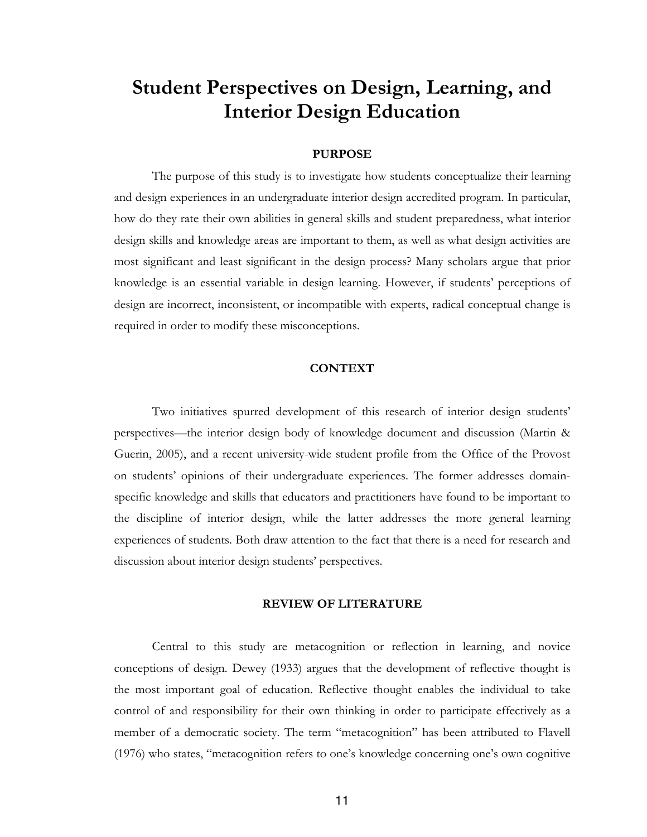# **Student Perspectives on Design, Learning, and Interior Design Education**

## **PURPOSE**

The purpose of this study is to investigate how students conceptualize their learning and design experiences in an undergraduate interior design accredited program. In particular, how do they rate their own abilities in general skills and student preparedness, what interior design skills and knowledge areas are important to them, as well as what design activities are most significant and least significant in the design process? Many scholars argue that prior knowledge is an essential variable in design learning. However, if students' perceptions of design are incorrect, inconsistent, or incompatible with experts, radical conceptual change is required in order to modify these misconceptions.

## **CONTEXT**

Two initiatives spurred development of this research of interior design students' perspectives—the interior design body of knowledge document and discussion (Martin & Guerin, 2005), and a recent university-wide student profile from the Office of the Provost on students' opinions of their undergraduate experiences. The former addresses domainspecific knowledge and skills that educators and practitioners have found to be important to the discipline of interior design, while the latter addresses the more general learning experiences of students. Both draw attention to the fact that there is a need for research and discussion about interior design students' perspectives.

### **REVIEW OF LITERATURE**

Central to this study are metacognition or reflection in learning, and novice conceptions of design. Dewey (1933) argues that the development of reflective thought is the most important goal of education. Reflective thought enables the individual to take control of and responsibility for their own thinking in order to participate effectively as a member of a democratic society. The term "metacognition" has been attributed to Flavell (1976) who states, "metacognition refers to one's knowledge concerning one's own cognitive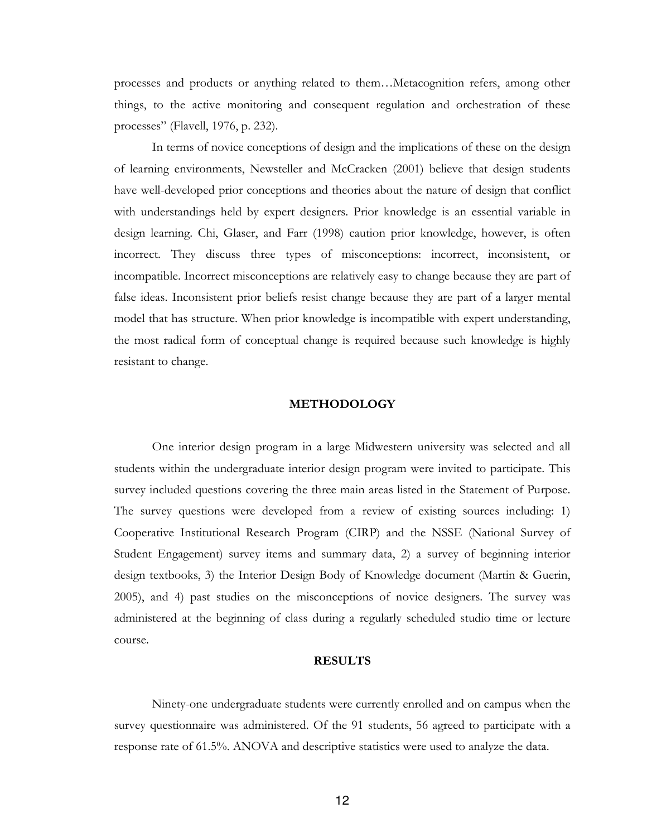processes and products or anything related to them...Metacognition refers, among other things, to the active monitoring and consequent regulation and orchestration of these processes" (Flavell, 1976, p. 232).

In terms of novice conceptions of design and the implications of these on the design of learning environments, Newsteller and McCracken (2001) believe that design students have well-developed prior conceptions and theories about the nature of design that conflict with understandings held by expert designers. Prior knowledge is an essential variable in design learning. Chi, Glaser, and Farr (1998) caution prior knowledge, however, is often incorrect. They discuss three types of misconceptions: incorrect, inconsistent, or incompatible. Incorrect misconceptions are relatively easy to change because they are part of false ideas. Inconsistent prior beliefs resist change because they are part of a larger mental model that has structure. When prior knowledge is incompatible with expert understanding, the most radical form of conceptual change is required because such knowledge is highly resistant to change.

#### **METHODOLOGY**

One interior design program in a large Midwestern university was selected and all students within the undergraduate interior design program were invited to participate. This survey included questions covering the three main areas listed in the Statement of Purpose. The survey questions were developed from a review of existing sources including: 1) Cooperative Institutional Research Program (CIRP) and the NSSE (National Survey of Student Engagement) survey items and summary data, 2) a survey of beginning interior design textbooks, 3) the Interior Design Body of Knowledge document (Martin & Guerin, 2005), and 4) past studies on the misconceptions of novice designers. The survey was administered at the beginning of class during a regularly scheduled studio time or lecture course.

#### **RESULTS**

Ninety-one undergraduate students were currently enrolled and on campus when the survey questionnaire was administered. Of the 91 students, 56 agreed to participate with a response rate of 61.5%. ANOVA and descriptive statistics were used to analyze the data.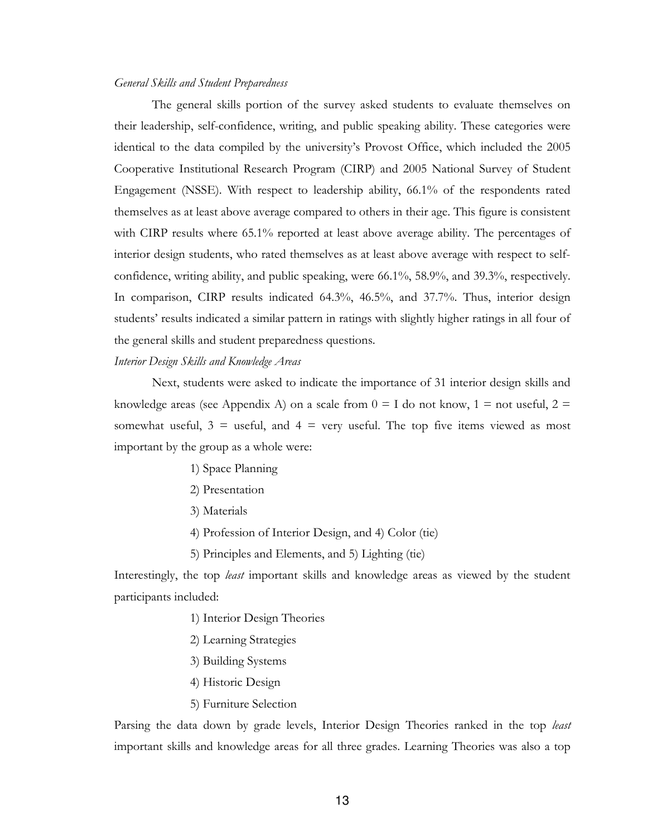#### General Skills and Student Preparedness

The general skills portion of the survey asked students to evaluate themselves on their leadership, self-confidence, writing, and public speaking ability. These categories were identical to the data compiled by the university's Provost Office, which included the 2005 Cooperative Institutional Research Program (CIRP) and 2005 National Survey of Student Engagement (NSSE). With respect to leadership ability, 66.1% of the respondents rated themselves as at least above average compared to others in their age. This figure is consistent with CIRP results where 65.1% reported at least above average ability. The percentages of interior design students, who rated themselves as at least above average with respect to selfconfidence, writing ability, and public speaking, were 66.1%, 58.9%, and 39.3%, respectively. In comparison, CIRP results indicated 64.3%, 46.5%, and 37.7%. Thus, interior design students' results indicated a similar pattern in ratings with slightly higher ratings in all four of the general skills and student preparedness questions.

## Interior Design Skills and Knowledge Areas

Next, students were asked to indicate the importance of 31 interior design skills and knowledge areas (see Appendix A) on a scale from  $0 = I$  do not know,  $1 =$  not useful,  $2 =$ somewhat useful,  $3 =$  useful, and  $4 =$  very useful. The top five items viewed as most important by the group as a whole were:

- 1) Space Planning
- 2) Presentation
- 3) Materials
- 4) Profession of Interior Design, and 4) Color (tie)
- 5) Principles and Elements, and 5) Lighting (tie)

Interestingly, the top *least* important skills and knowledge areas as viewed by the student participants included:

- 1) Interior Design Theories
- 2) Learning Strategies
- 3) Building Systems
- 4) Historic Design
- 5) Furniture Selection

Parsing the data down by grade levels, Interior Design Theories ranked in the top least important skills and knowledge areas for all three grades. Learning Theories was also a top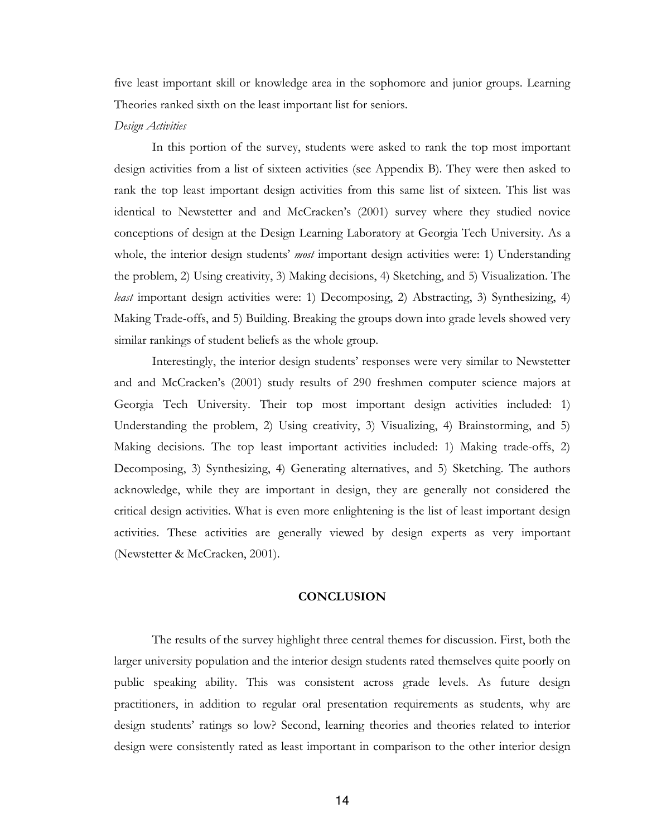five least important skill or knowledge area in the sophomore and junior groups. Learning Theories ranked sixth on the least important list for seniors.

#### Design Activities

In this portion of the survey, students were asked to rank the top most important design activities from a list of sixteen activities (see Appendix B). They were then asked to rank the top least important design activities from this same list of sixteen. This list was identical to Newstetter and and McCracken's (2001) survey where they studied novice conceptions of design at the Design Learning Laboratory at Georgia Tech University. As a whole, the interior design students' *most* important design activities were: 1) Understanding the problem, 2) Using creativity, 3) Making decisions, 4) Sketching, and 5) Visualization. The *least* important design activities were: 1) Decomposing, 2) Abstracting, 3) Synthesizing, 4) Making Trade-offs, and 5) Building. Breaking the groups down into grade levels showed very similar rankings of student beliefs as the whole group.

Interestingly, the interior design students' responses were very similar to Newstetter and and McCracken's (2001) study results of 290 freshmen computer science majors at Georgia Tech University. Their top most important design activities included: 1) Understanding the problem, 2) Using creativity, 3) Visualizing, 4) Brainstorming, and 5) Making decisions. The top least important activities included: 1) Making trade-offs, 2) Decomposing, 3) Synthesizing, 4) Generating alternatives, and 5) Sketching. The authors acknowledge, while they are important in design, they are generally not considered the critical design activities. What is even more enlightening is the list of least important design activities. These activities are generally viewed by design experts as very important (Newstetter & McCracken, 2001).

#### **CONCLUSION**

The results of the survey highlight three central themes for discussion. First, both the larger university population and the interior design students rated themselves quite poorly on public speaking ability. This was consistent across grade levels. As future design practitioners, in addition to regular oral presentation requirements as students, why are design students' ratings so low? Second, learning theories and theories related to interior design were consistently rated as least important in comparison to the other interior design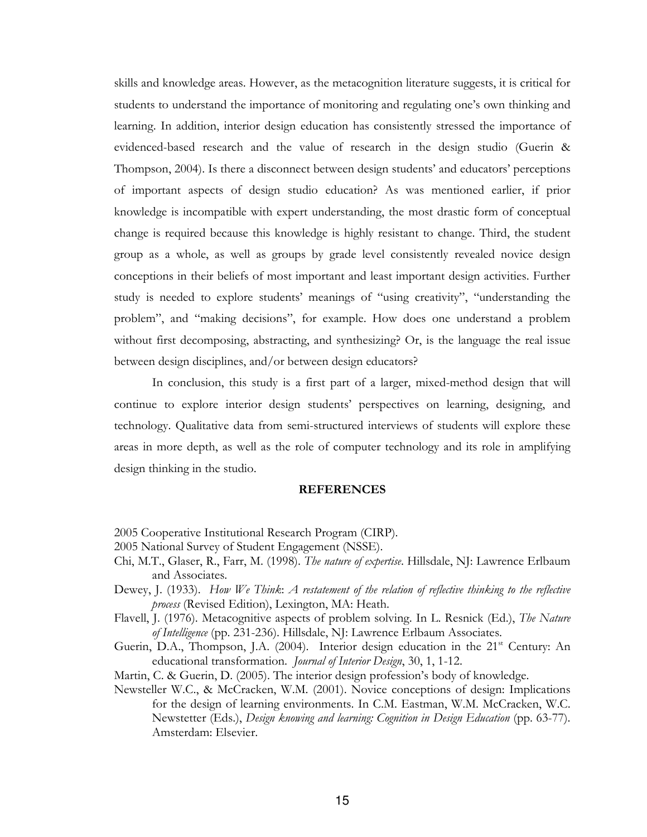skills and knowledge areas. However, as the metacognition literature suggests, it is critical for students to understand the importance of monitoring and regulating one's own thinking and learning. In addition, interior design education has consistently stressed the importance of evidenced-based research and the value of research in the design studio (Guerin & Thompson, 2004). Is there a disconnect between design students' and educators' perceptions of important aspects of design studio education? As was mentioned earlier, if prior knowledge is incompatible with expert understanding, the most drastic form of conceptual change is required because this knowledge is highly resistant to change. Third, the student group as a whole, as well as groups by grade level consistently revealed novice design conceptions in their beliefs of most important and least important design activities. Further study is needed to explore students' meanings of "using creativity", "understanding the problem", and "making decisions", for example. How does one understand a problem without first decomposing, abstracting, and synthesizing? Or, is the language the real issue between design disciplines, and/or between design educators?

In conclusion, this study is a first part of a larger, mixed-method design that will continue to explore interior design students' perspectives on learning, designing, and technology. Qualitative data from semi-structured interviews of students will explore these areas in more depth, as well as the role of computer technology and its role in amplifying design thinking in the studio.

#### **REFERENCES**

- 2005 Cooperative Institutional Research Program (CIRP).
- 2005 National Survey of Student Engagement (NSSE).
- Chi, M.T., Glaser, R., Farr, M. (1998). The nature of expertise. Hillsdale, NJ: Lawrence Erlbaum and Associates.
- Dewey, J. (1933). How We Think: A restatement of the relation of reflective thinking to the reflective process (Revised Edition), Lexington, MA: Heath.
- Flavell, J. (1976). Metacognitive aspects of problem solving. In L. Resnick (Ed.), The Nature of Intelligence (pp. 231-236). Hillsdale, NJ: Lawrence Erlbaum Associates.
- Guerin, D.A., Thompson, J.A. (2004). Interior design education in the 21<sup>st</sup> Century: An educational transformation. Journal of Interior Design, 30, 1, 1-12.
- Martin, C. & Guerin, D. (2005). The interior design profession's body of knowledge.
- Newsteller W.C., & McCracken, W.M. (2001). Novice conceptions of design: Implications for the design of learning environments. In C.M. Eastman, W.M. McCracken, W.C. Newstetter (Eds.), Design knowing and learning: Cognition in Design Education (pp. 63-77). Amsterdam: Elsevier.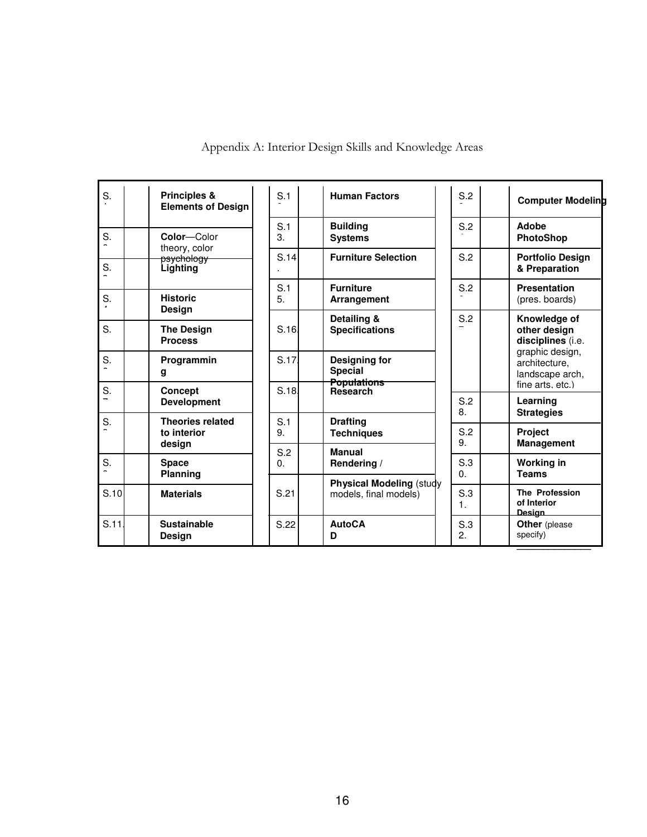| S.   | Principles &<br><b>Elements of Design</b>     | S.1             | <b>Human Factors</b>                                     | S.2               | <b>Computer Modeling</b>                                 |
|------|-----------------------------------------------|-----------------|----------------------------------------------------------|-------------------|----------------------------------------------------------|
| S.   | Color-Color                                   | S.1<br>3.       | <b>Building</b><br><b>Systems</b>                        | S.2               | Adobe<br><b>PhotoShop</b>                                |
| S.   | theory, color<br>psychology<br>Lighting       | S.14            | <b>Furniture Selection</b>                               | S.2               | <b>Portfolio Design</b><br>& Preparation                 |
| S.   | <b>Historic</b>                               | S.1<br>5.       | <b>Furniture</b><br>Arrangement                          | S.2               | <b>Presentation</b><br>(pres. boards)                    |
| S.   | Design<br><b>The Design</b><br><b>Process</b> | S.16            | Detailing &<br><b>Specifications</b>                     | S.2               | Knowledge of<br>other design<br>disciplines (i.e.        |
| S.   | Programmin<br>g                               | S.17            | Designing for<br><b>Special</b>                          |                   | graphic design,<br>architecture,<br>landscape arch,      |
| S.   | <b>Concept</b><br><b>Development</b>          | S.18.           | <b>Populations</b><br><b>Research</b>                    | S.2<br>8.         | fine arts, etc.)<br>Learning                             |
| S.   | <b>Theories related</b><br>to interior        | S.1<br>9.       | <b>Drafting</b><br><b>Techniques</b>                     | S.2<br>9.         | <b>Strategies</b><br><b>Project</b><br><b>Management</b> |
| S.   | design<br><b>Space</b><br>Planning            | S.2<br>$\Omega$ | <b>Manual</b><br>Rendering /                             | S.3<br>$\Omega$ . | <b>Working in</b><br><b>Teams</b>                        |
| S.10 | <b>Materials</b>                              | S.21            | <b>Physical Modeling (study</b><br>models, final models) | S.3<br>1.         | <b>The Profession</b><br>of Interior<br><b>Design</b>    |
| S.11 | <b>Sustainable</b><br><b>Design</b>           | S.22            | <b>AutoCA</b><br>D                                       | S.3<br>2.         | <b>Other</b> (please<br>specify)                         |

Appendix A: Interior Design Skills and Knowledge Areas